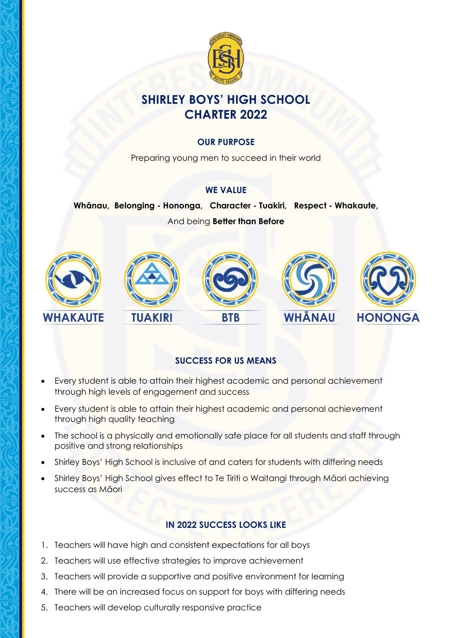

# **SHIRLEY BOYS' HIGH SCHOOL CHARTER 2022**

#### **OUR PURPOSE**

Preparing young men to succeed in their world

#### **WE VALUE**

**Whānau, Belonging - Hononga, Character - Tuakiri, Respect - Whakaute,**  And being **Better than Before**



# **SUCCESS FOR US MEANS**

- Every student is able to attain their highest academic and personal achievement through high levels of engagement and success
- Every student is able to attain their highest academic and personal achievement through high quality teaching
- The school is a physically and emotionally safe place for all students and staff through positive and strong relationships
- Shirley Boys' High School is inclusive of and caters for students with differing needs
- Shirley Boys' High School gives effect to Te Tiriti o Waitangi through Māori achieving success as Māori

#### **IN 2022 SUCCESS LOOKS LIKE**

- 1. Teachers will have high and consistent expectations for all boys
- 2. Teachers will use effective strategies to improve achievement
- 3. Teachers will provide a supportive and positive environment for learning
- 4. There will be an increased focus on support for boys with differing needs
- 5. Teachers will develop culturally responsive practice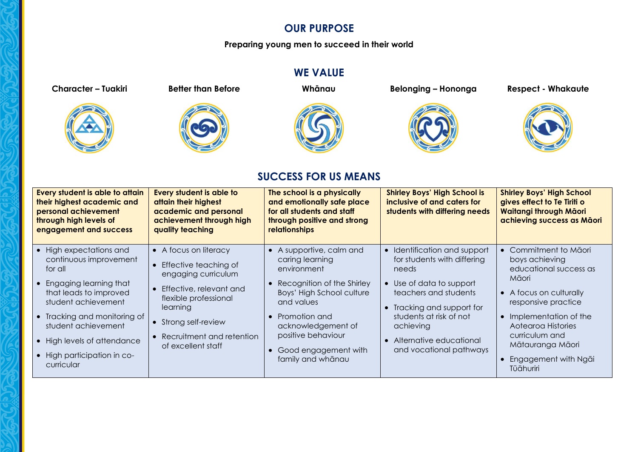# **OUR PURPOSE**

**Preparing young men to succeed in their world** 

# **WE VALUE**







**Character – Tuakiri Better than Before Whānau Belonging – Hononga Respect - Whakaute**





# **SUCCESS FOR US MEANS**

| Every student is able to attain<br>their highest academic and<br>personal achievement<br>through high levels of<br>engagement and success                                                                                                                                       | <b>Every student is able to</b><br>attain their highest<br>academic and personal<br>achievement through high<br>quality teaching                                                                                 | The school is a physically<br>and emotionally safe place<br>for all students and staff<br>through positive and strong<br>relationships                                                                                                        | <b>Shirley Boys' High School is</b><br>inclusive of and caters for<br>students with differing needs                                                                                                                                                 | <b>Shirley Boys' High School</b><br>gives effect to Te Tiriti o<br><b>Waitangi through Māori</b><br>achieving success as Māori                                                                                                                       |
|---------------------------------------------------------------------------------------------------------------------------------------------------------------------------------------------------------------------------------------------------------------------------------|------------------------------------------------------------------------------------------------------------------------------------------------------------------------------------------------------------------|-----------------------------------------------------------------------------------------------------------------------------------------------------------------------------------------------------------------------------------------------|-----------------------------------------------------------------------------------------------------------------------------------------------------------------------------------------------------------------------------------------------------|------------------------------------------------------------------------------------------------------------------------------------------------------------------------------------------------------------------------------------------------------|
| High expectations and<br>continuous improvement<br>for all<br>Engaging learning that<br>that leads to improved<br>student achievement<br>Tracking and monitoring of<br>$\bullet$<br>student achievement<br>High levels of attendance<br>High participation in co-<br>curricular | • A focus on literacy<br>Effective teaching of<br>engaging curriculum<br>Effective, relevant and<br>flexible professional<br>learning<br>• Strong self-review<br>Recruitment and retention<br>of excellent staff | • A supportive, calm and<br>caring learning<br>environment<br>Recognition of the Shirley<br>Boys' High School culture<br>and values<br>Promotion and<br>acknowledgement of<br>positive behaviour<br>Good engagement with<br>family and whanau | Identification and support<br>for students with differing<br>needs<br>Use of data to support<br>teachers and students<br>• Tracking and support for<br>students at risk of not<br>achieving<br>• Alternative educational<br>and vocational pathways | Commitment to Māori<br>boys achieving<br>educational success as<br>Māori<br>• A focus on culturally<br>responsive practice<br>Implementation of the<br>Aotearoa Histories<br>curriculum and<br>Mātauranga Māori<br>Engagement with Ngai<br>Tūāhuriri |